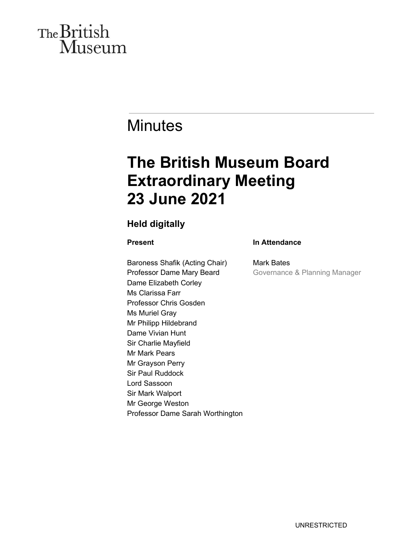# The British Museum

# **Minutes**

# **The British Museum Board Extraordinary Meeting 23 June 2021**

### **Held digitally**

### **Present**

Baroness Shafik (Acting Chair) Professor Dame Mary Beard Dame Elizabeth Corley Ms Clarissa Farr Professor Chris Gosden Ms Muriel Gray Mr Philipp Hildebrand Dame Vivian Hunt Sir Charlie Mayfield Mr Mark Pears Mr Grayson Perry Sir Paul Ruddock Lord Sassoon Sir Mark Walport Mr George Weston Professor Dame Sarah Worthington

### **In Attendance**

Mark Bates Governance & Planning Manager